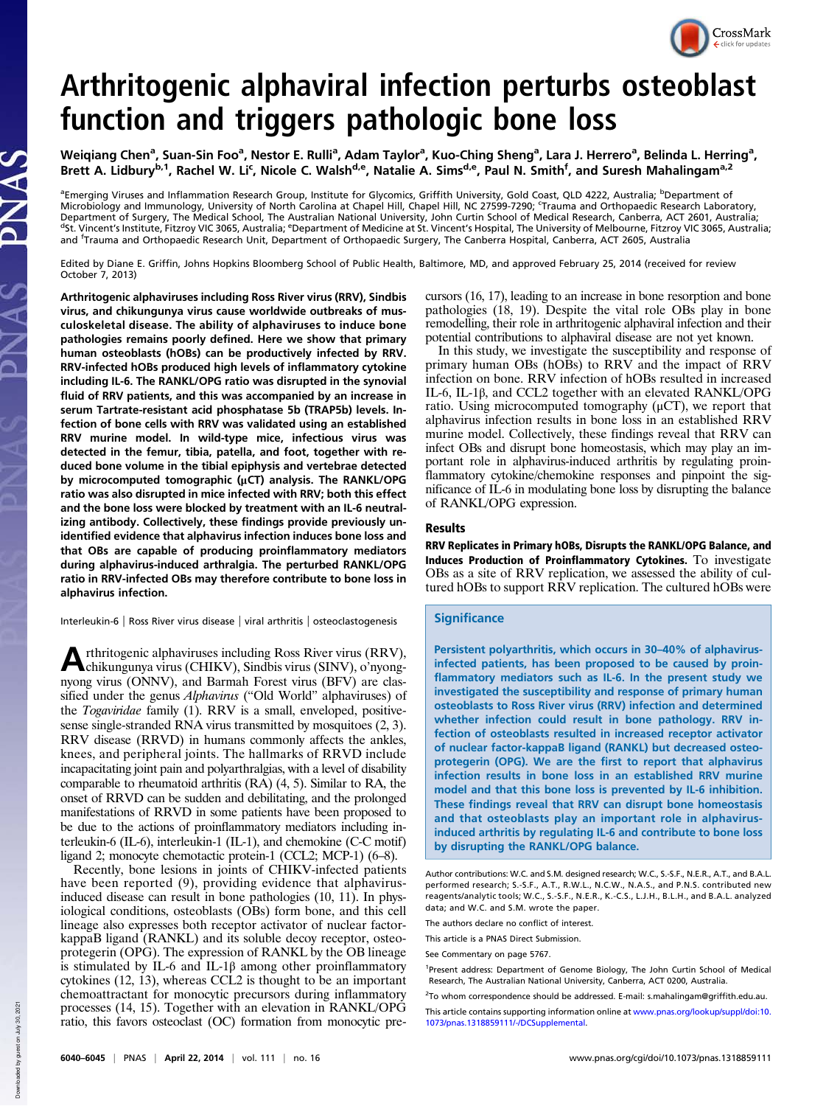# CrossMark

## Arthritogenic alphaviral infection perturbs osteoblast function and triggers pathologic bone loss

Weiqiang Chen<sup>a</sup>, Suan-Sin Foo<sup>a</sup>, Nestor E. Rulli<sup>a</sup>, Adam Taylor<sup>a</sup>, Kuo-Ching Sheng<sup>a</sup>, Lara J. Herrero<sup>a</sup>, Belinda L. Herring<sup>a</sup>, Brett A. Lidbury<sup>b,1</sup>, Rachel W. Li<sup>c</sup>, Nicole C. Walsh<sup>d,e</sup>, Natalie A. Sims<sup>d,e</sup>, Paul N. Smith<sup>f</sup>, and Suresh Mahalingam<sup>a,2</sup>

<sup>a</sup>Emerging Viruses and Inflammation Research Group, Institute for Glycomics, Griffith University, Gold Coast, QLD 4222, Australia; <sup>b</sup>Department of Microbiology and Immunology, University of North Carolina at Chapel Hill, Chapel Hill, NC 27599-7290; 'Trauma and Orthopaedic Research Laboratory, Department of Surgery, The Medical School, The Australian National University, John Curtin School of Medical Research, Canberra, ACT 2601, Australia;<br><sup>d</sup>St. Vincent's Institute, Fitzroy VIC 3065, Australia; <sup>e</sup>Department o and <sup>f</sup> Trauma and Orthopaedic Research Unit, Department of Orthopaedic Surgery, The Canberra Hospital, Canberra, ACT 2605, Australia

Edited by Diane E. Griffin, Johns Hopkins Bloomberg School of Public Health, Baltimore, MD, and approved February 25, 2014 (received for review October 7, 2013)

Arthritogenic alphaviruses including Ross River virus (RRV), Sindbis virus, and chikungunya virus cause worldwide outbreaks of musculoskeletal disease. The ability of alphaviruses to induce bone pathologies remains poorly defined. Here we show that primary human osteoblasts (hOBs) can be productively infected by RRV. RRV-infected hOBs produced high levels of inflammatory cytokine including IL-6. The RANKL/OPG ratio was disrupted in the synovial fluid of RRV patients, and this was accompanied by an increase in serum Tartrate-resistant acid phosphatase 5b (TRAP5b) levels. Infection of bone cells with RRV was validated using an established RRV murine model. In wild-type mice, infectious virus was detected in the femur, tibia, patella, and foot, together with reduced bone volume in the tibial epiphysis and vertebrae detected by microcomputed tomographic (μCT) analysis. The RANKL/OPG ratio was also disrupted in mice infected with RRV; both this effect and the bone loss were blocked by treatment with an IL-6 neutralizing antibody. Collectively, these findings provide previously unidentified evidence that alphavirus infection induces bone loss and that OBs are capable of producing proinflammatory mediators during alphavirus-induced arthralgia. The perturbed RANKL/OPG ratio in RRV-infected OBs may therefore contribute to bone loss in alphavirus infection.

Interleukin-6 | Ross River virus disease | viral arthritis | osteoclastogenesis

A chikungunya virus (CHIKV), Sindbis virus (SINV), o'nyongrthritogenic alphaviruses including Ross River virus (RRV), nyong virus (ONNV), and Barmah Forest virus (BFV) are classified under the genus *Alphavirus* ("Old World" alphaviruses) of the Togaviridae family (1). RRV is a small, enveloped, positivesense single-stranded RNA virus transmitted by mosquitoes (2, 3). RRV disease (RRVD) in humans commonly affects the ankles, knees, and peripheral joints. The hallmarks of RRVD include incapacitating joint pain and polyarthralgias, with a level of disability comparable to rheumatoid arthritis (RA) (4, 5). Similar to RA, the onset of RRVD can be sudden and debilitating, and the prolonged manifestations of RRVD in some patients have been proposed to be due to the actions of proinflammatory mediators including interleukin-6 (IL-6), interleukin-1 (IL-1), and chemokine (C-C motif) ligand 2; monocyte chemotactic protein-1 (CCL2; MCP-1) (6–8).

Recently, bone lesions in joints of CHIKV-infected patients have been reported (9), providing evidence that alphavirusinduced disease can result in bone pathologies (10, 11). In physiological conditions, osteoblasts (OBs) form bone, and this cell lineage also expresses both receptor activator of nuclear factorkappaB ligand (RANKL) and its soluble decoy receptor, osteoprotegerin (OPG). The expression of RANKL by the OB lineage is stimulated by IL-6 and IL-1 $\beta$  among other proinflammatory cytokines (12, 13), whereas CCL2 is thought to be an important chemoattractant for monocytic precursors during inflammatory processes (14, 15). Together with an elevation in RANKL/OPG ratio, this favors osteoclast (OC) formation from monocytic precursors (16, 17), leading to an increase in bone resorption and bone pathologies (18, 19). Despite the vital role OBs play in bone remodelling, their role in arthritogenic alphaviral infection and their potential contributions to alphaviral disease are not yet known.

In this study, we investigate the susceptibility and response of primary human OBs (hOBs) to RRV and the impact of RRV infection on bone. RRV infection of hOBs resulted in increased IL-6, IL-1β, and CCL2 together with an elevated RANKL/OPG ratio. Using microcomputed tomography  $(\mu$ CT), we report that alphavirus infection results in bone loss in an established RRV murine model. Collectively, these findings reveal that RRV can infect OBs and disrupt bone homeostasis, which may play an important role in alphavirus-induced arthritis by regulating proinflammatory cytokine/chemokine responses and pinpoint the significance of IL-6 in modulating bone loss by disrupting the balance of RANKL/OPG expression.

### Results

RRV Replicates in Primary hOBs, Disrupts the RANKL/OPG Balance, and Induces Production of Proinflammatory Cytokines. To investigate OBs as a site of RRV replication, we assessed the ability of cultured hOBs to support RRV replication. The cultured hOBs were

### **Significance**

Persistent polyarthritis, which occurs in 30–40% of alphavirusinfected patients, has been proposed to be caused by proinflammatory mediators such as IL-6. In the present study we investigated the susceptibility and response of primary human osteoblasts to Ross River virus (RRV) infection and determined whether infection could result in bone pathology. RRV infection of osteoblasts resulted in increased receptor activator of nuclear factor-kappaB ligand (RANKL) but decreased osteoprotegerin (OPG). We are the first to report that alphavirus infection results in bone loss in an established RRV murine model and that this bone loss is prevented by IL-6 inhibition. These findings reveal that RRV can disrupt bone homeostasis and that osteoblasts play an important role in alphavirusinduced arthritis by regulating IL-6 and contribute to bone loss by disrupting the RANKL/OPG balance.

**Down** 

Author contributions: W.C. and S.M. designed research; W.C., S.-S.F., N.E.R., A.T., and B.A.L. performed research; S.-S.F., A.T., R.W.L., N.C.W., N.A.S., and P.N.S. contributed new reagents/analytic tools; W.C., S.-S.F., N.E.R., K.-C.S., L.J.H., B.L.H., and B.A.L. analyzed data; and W.C. and S.M. wrote the paper.

The authors declare no conflict of interest.

This article is a PNAS Direct Submission.

See Commentary on page 5767.

<sup>&</sup>lt;sup>1</sup>Present address: Department of Genome Biology, The John Curtin School of Medical Research, The Australian National University, Canberra, ACT 0200, Australia.

<sup>&</sup>lt;sup>2</sup>To whom correspondence should be addressed. E-mail: s.mahalingam@griffith.edu.au.

This article contains supporting information online at www.pnas.org/lookup/suppl/doi:10. 1073/pnas.1318859111/-/DCSupplemental.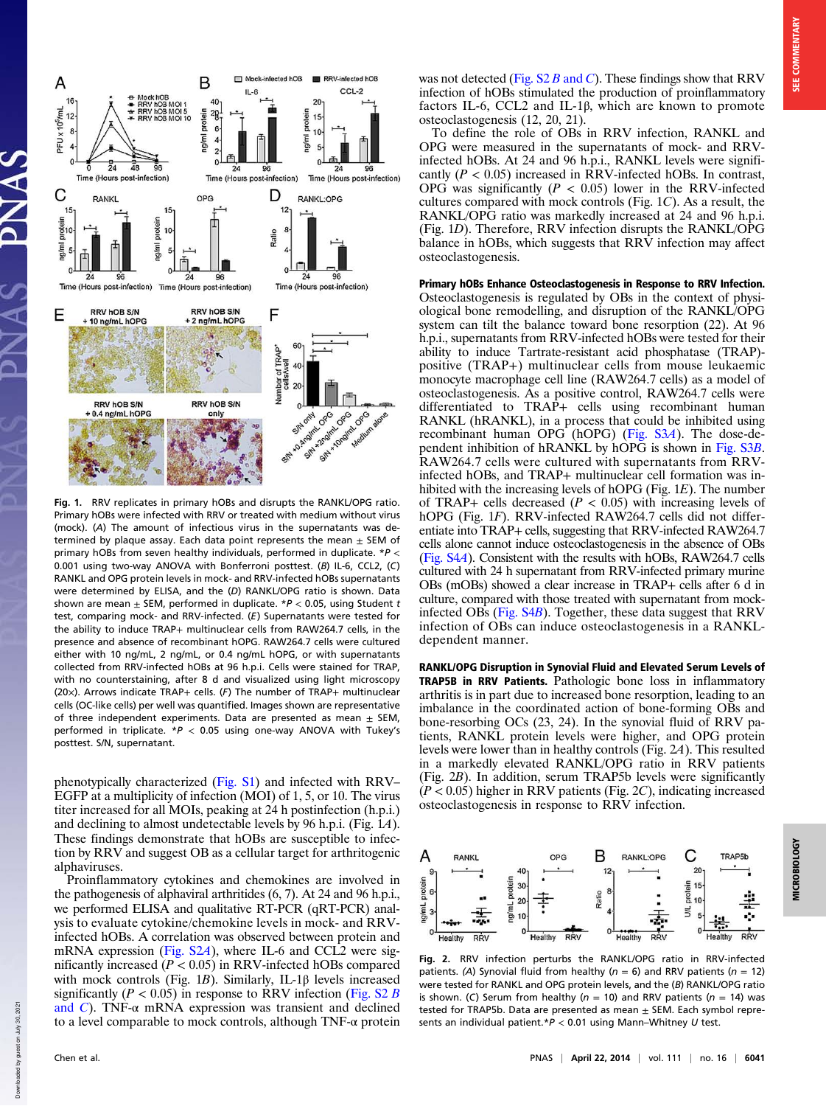

Fig. 1. RRV replicates in primary hOBs and disrupts the RANKL/OPG ratio. Primary hOBs were infected with RRV or treated with medium without virus (mock). (A) The amount of infectious virus in the supernatants was determined by plaque assay. Each data point represents the mean  $\pm$  SEM of primary hOBs from seven healthy individuals, performed in duplicate. \*P < 0.001 using two-way ANOVA with Bonferroni posttest. (B) IL-6, CCL2, (C) RANKL and OPG protein levels in mock- and RRV-infected hOBs supernatants were determined by ELISA, and the (D) RANKL/OPG ratio is shown. Data shown are mean  $\pm$  SEM, performed in duplicate. \* $P < 0.05$ , using Student t test, comparing mock- and RRV-infected. (E) Supernatants were tested for the ability to induce TRAP+ multinuclear cells from RAW264.7 cells, in the presence and absence of recombinant hOPG. RAW264.7 cells were cultured either with 10 ng/mL, 2 ng/mL, or 0.4 ng/mL hOPG, or with supernatants collected from RRV-infected hOBs at 96 h.p.i. Cells were stained for TRAP, with no counterstaining, after 8 d and visualized using light microscopy (20×). Arrows indicate TRAP+ cells. (F) The number of TRAP+ multinuclear cells (OC-like cells) per well was quantified. Images shown are representative of three independent experiments. Data are presented as mean  $\pm$  SEM, performed in triplicate.  $*P < 0.05$  using one-way ANOVA with Tukey's posttest. S/N, supernatant.

phenotypically characterized (Fig. S1) and infected with RRV– EGFP at a multiplicity of infection (MOI) of 1, 5, or 10. The virus titer increased for all MOIs, peaking at 24 h postinfection (h.p.i.) and declining to almost undetectable levels by 96 h.p.i. (Fig. 1A). These findings demonstrate that hOBs are susceptible to infection by RRV and suggest OB as a cellular target for arthritogenic alphaviruses.

Proinflammatory cytokines and chemokines are involved in the pathogenesis of alphaviral arthritides (6, 7). At 24 and 96 h.p.i., we performed ELISA and qualitative RT-PCR (qRT-PCR) analysis to evaluate cytokine/chemokine levels in mock- and RRVinfected hOBs. A correlation was observed between protein and mRNA expression (Fig. S2A), where IL-6 and CCL2 were significantly increased  $(P < 0.05)$  in RRV-infected hOBs compared with mock controls (Fig. 1B). Similarly, IL-1 $\beta$  levels increased significantly ( $P < 0.05$ ) in response to RRV infection (Fig. S2 B) and  $C$ ). TNF- $\alpha$  mRNA expression was transient and declined to a level comparable to mock controls, although TNF-α protein

Downloaded by guest on July 30, 2021

loaded by guest on

Down

2021 July 30, was not detected (Fig.  $S2 B$  and C). These findings show that RRV infection of hOBs stimulated the production of proinflammatory factors IL-6, CCL2 and IL-1β, which are known to promote osteoclastogenesis (12, 20, 21).

To define the role of OBs in RRV infection, RANKL and OPG were measured in the supernatants of mock- and RRVinfected hOBs. At 24 and 96 h.p.i., RANKL levels were significantly ( $P < 0.05$ ) increased in RRV-infected hOBs. In contrast, OPG was significantly ( $P < 0.05$ ) lower in the RRV-infected cultures compared with mock controls (Fig. 1C). As a result, the RANKL/OPG ratio was markedly increased at 24 and 96 h.p.i. (Fig. 1D). Therefore, RRV infection disrupts the RANKL/OPG balance in hOBs, which suggests that RRV infection may affect osteoclastogenesis.

Primary hOBs Enhance Osteoclastogenesis in Response to RRV Infection. Osteoclastogenesis is regulated by OBs in the context of physiological bone remodelling, and disruption of the RANKL/OPG system can tilt the balance toward bone resorption (22). At 96 h.p.i., supernatants from RRV-infected hOBs were tested for their ability to induce Tartrate-resistant acid phosphatase (TRAP) positive (TRAP+) multinuclear cells from mouse leukaemic monocyte macrophage cell line (RAW264.7 cells) as a model of osteoclastogenesis. As a positive control, RAW264.7 cells were differentiated to TRAP+ cells using recombinant human RANKL (hRANKL), in a process that could be inhibited using recombinant human OPG (hOPG) (Fig. S3A). The dose-dependent inhibition of hRANKL by hOPG is shown in Fig. S3B. RAW264.7 cells were cultured with supernatants from RRVinfected hOBs, and TRAP+ multinuclear cell formation was inhibited with the increasing levels of hOPG (Fig. 1E). The number of TRAP+ cells decreased ( $P < 0.05$ ) with increasing levels of hOPG (Fig. 1F). RRV-infected RAW264.7 cells did not differentiate into TRAP+ cells, suggesting that RRV-infected RAW264.7 cells alone cannot induce osteoclastogenesis in the absence of OBs (Fig. S4A). Consistent with the results with hOBs, RAW264.7 cells cultured with 24 h supernatant from RRV-infected primary murine OBs (mOBs) showed a clear increase in TRAP+ cells after 6 d in culture, compared with those treated with supernatant from mockinfected OBs (Fig. S4B). Together, these data suggest that RRV infection of OBs can induce osteoclastogenesis in a RANKLdependent manner.

RANKL/OPG Disruption in Synovial Fluid and Elevated Serum Levels of TRAP5B in RRV Patients. Pathologic bone loss in inflammatory arthritis is in part due to increased bone resorption, leading to an imbalance in the coordinated action of bone-forming OBs and bone-resorbing OCs (23, 24). In the synovial fluid of RRV patients, RANKL protein levels were higher, and OPG protein levels were lower than in healthy controls (Fig. 2A). This resulted in a markedly elevated RANKL/OPG ratio in RRV patients (Fig. 2B). In addition, serum TRAP5b levels were significantly  $(P < 0.05)$  higher in RRV patients (Fig. 2C), indicating increased osteoclastogenesis in response to RRV infection.



Fig. 2. RRV infection perturbs the RANKL/OPG ratio in RRV-infected patients. (A) Synovial fluid from healthy ( $n = 6$ ) and RRV patients ( $n = 12$ ) were tested for RANKL and OPG protein levels, and the (B) RANKL/OPG ratio is shown. (C) Serum from healthy ( $n = 10$ ) and RRV patients ( $n = 14$ ) was tested for TRAP5b. Data are presented as mean  $\pm$  SEM. Each symbol represents an individual patient.\* $P < 0.01$  using Mann–Whitney U test.

**MICROBIOLOG**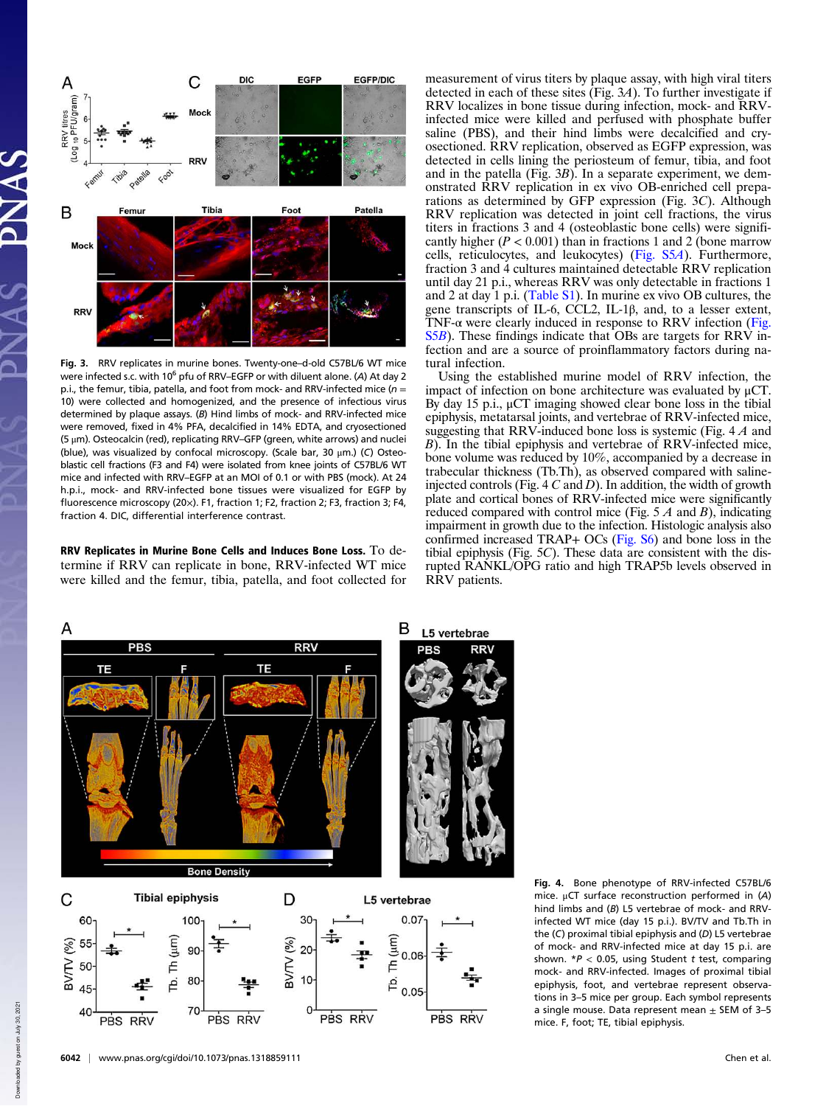

Fig. 3. RRV replicates in murine bones. Twenty-one–d-old C57BL/6 WT mice were infected s.c. with 10<sup>6</sup> pfu of RRV–EGFP or with diluent alone. (A) At day 2 p.i., the femur, tibia, patella, and foot from mock- and RRV-infected mice ( $n =$ 10) were collected and homogenized, and the presence of infectious virus determined by plaque assays. (B) Hind limbs of mock- and RRV-infected mice were removed, fixed in 4% PFA, decalcified in 14% EDTA, and cryosectioned (5 μm). Osteocalcin (red), replicating RRV–GFP (green, white arrows) and nuclei (blue), was visualized by confocal microscopy. (Scale bar, 30 μm.) (C) Osteoblastic cell fractions (F3 and F4) were isolated from knee joints of C57BL/6 WT mice and infected with RRV–EGFP at an MOI of 0.1 or with PBS (mock). At 24 h.p.i., mock- and RRV-infected bone tissues were visualized for EGFP by fluorescence microscopy (20×). F1, fraction 1; F2, fraction 2; F3, fraction 3; F4, fraction 4. DIC, differential interference contrast.

RRV Replicates in Murine Bone Cells and Induces Bone Loss. To determine if RRV can replicate in bone, RRV-infected WT mice were killed and the femur, tibia, patella, and foot collected for measurement of virus titers by plaque assay, with high viral titers detected in each of these sites (Fig. 3A). To further investigate if RRV localizes in bone tissue during infection, mock- and RRVinfected mice were killed and perfused with phosphate buffer saline (PBS), and their hind limbs were decalcified and cryosectioned. RRV replication, observed as EGFP expression, was detected in cells lining the periosteum of femur, tibia, and foot and in the patella (Fig. 3B). In a separate experiment, we demonstrated RRV replication in ex vivo OB-enriched cell preparations as determined by GFP expression (Fig. 3C). Although RRV replication was detected in joint cell fractions, the virus titers in fractions 3 and 4 (osteoblastic bone cells) were significantly higher ( $P < 0.001$ ) than in fractions 1 and 2 (bone marrow cells, reticulocytes, and leukocytes) (Fig. S5A). Furthermore, fraction 3 and 4 cultures maintained detectable RRV replication until day 21 p.i., whereas RRV was only detectable in fractions 1 and 2 at day 1 p.i. (Table S1). In murine ex vivo OB cultures, the gene transcripts of IL-6, CCL2, IL-1β, and, to a lesser extent, TNF-α were clearly induced in response to RRV infection (Fig. S5B). These findings indicate that OBs are targets for RRV infection and are a source of proinflammatory factors during natural infection.

Using the established murine model of RRV infection, the impact of infection on bone architecture was evaluated by μCT. By day 15 p.i., μCT imaging showed clear bone loss in the tibial epiphysis, metatarsal joints, and vertebrae of RRV-infected mice, suggesting that RRV-induced bone loss is systemic (Fig. 4 A and B). In the tibial epiphysis and vertebrae of RRV-infected mice, bone volume was reduced by 10%, accompanied by a decrease in trabecular thickness (Tb.Th), as observed compared with salineinjected controls (Fig. 4  $C$  and  $D$ ). In addition, the width of growth plate and cortical bones of RRV-infected mice were significantly reduced compared with control mice (Fig.  $5 \land A$  and  $B$ ), indicating impairment in growth due to the infection. Histologic analysis also confirmed increased TRAP+ OCs (Fig. S6) and bone loss in the tibial epiphysis (Fig. 5C). These data are consistent with the disrupted RANKL/OPG ratio and high TRAP5b levels observed in RRV patients.



Fig. 4. Bone phenotype of RRV-infected C57BL/6 mice. μCT surface reconstruction performed in (A) hind limbs and (B) L5 vertebrae of mock- and RRVinfected WT mice (day 15 p.i.). BV/TV and Tb.Th in the (C) proximal tibial epiphysis and (D) L5 vertebrae of mock- and RRV-infected mice at day 15 p.i. are shown.  $*P < 0.05$ , using Student t test, comparing mock- and RRV-infected. Images of proximal tibial epiphysis, foot, and vertebrae represent observations in 3–5 mice per group. Each symbol represents a single mouse. Data represent mean  $\pm$  SEM of 3-5 mice. F, foot; TE, tibial epiphysis.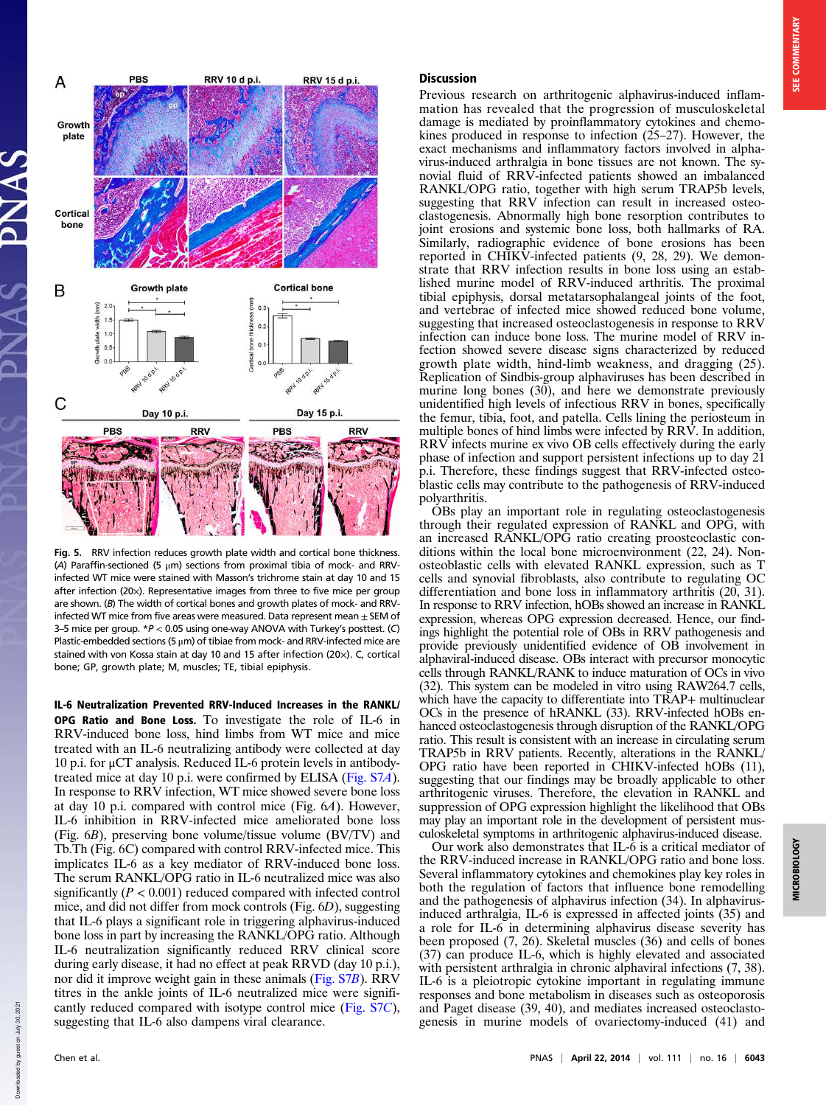

Fig. 5. RRV infection reduces growth plate width and cortical bone thickness. (A) Paraffin-sectioned (5 μm) sections from proximal tibia of mock- and RRVinfected WT mice were stained with Masson's trichrome stain at day 10 and 15 after infection (20×). Representative images from three to five mice per group are shown. (B) The width of cortical bones and growth plates of mock- and RRVinfected WT mice from five areas were measured. Data represent mean  $\pm$  SEM of 3–5 mice per group.  $*P < 0.05$  using one-way ANOVA with Turkey's posttest. (C) Plastic-embedded sections (5 μm) of tibiae from mock- and RRV-infected mice are stained with von Kossa stain at day 10 and 15 after infection (20×). C, cortical bone; GP, growth plate; M, muscles; TE, tibial epiphysis.

IL-6 Neutralization Prevented RRV-Induced Increases in the RANKL/

OPG Ratio and Bone Loss. To investigate the role of IL-6 in RRV-induced bone loss, hind limbs from WT mice and mice treated with an IL-6 neutralizing antibody were collected at day 10 p.i. for μCT analysis. Reduced IL-6 protein levels in antibodytreated mice at day 10 p.i. were confirmed by ELISA (Fig. S7A). In response to RRV infection, WT mice showed severe bone loss at day 10 p.i. compared with control mice (Fig. 6A). However, IL-6 inhibition in RRV-infected mice ameliorated bone loss (Fig. 6B), preserving bone volume/tissue volume (BV/TV) and Tb.Th (Fig. 6C) compared with control RRV-infected mice. This implicates IL-6 as a key mediator of RRV-induced bone loss. The serum RANKL/OPG ratio in IL-6 neutralized mice was also significantly ( $P < 0.001$ ) reduced compared with infected control mice, and did not differ from mock controls (Fig. 6D), suggesting that IL-6 plays a significant role in triggering alphavirus-induced bone loss in part by increasing the RANKL/OPG ratio. Although IL-6 neutralization significantly reduced RRV clinical score during early disease, it had no effect at peak RRVD (day 10 p.i.), nor did it improve weight gain in these animals (Fig. S7B). RRV titres in the ankle joints of IL-6 neutralized mice were significantly reduced compared with isotype control mice (Fig. S7C), suggesting that IL-6 also dampens viral clearance.

# **SEE COMMENTARY** MICROBIOLOGY SEE COMMENTARY

Previous research on arthritogenic alphavirus-induced inflammation has revealed that the progression of musculoskeletal damage is mediated by proinflammatory cytokines and chemokines produced in response to infection (25–27). However, the exact mechanisms and inflammatory factors involved in alphavirus-induced arthralgia in bone tissues are not known. The synovial fluid of RRV-infected patients showed an imbalanced RANKL/OPG ratio, together with high serum TRAP5b levels, suggesting that RRV infection can result in increased osteoclastogenesis. Abnormally high bone resorption contributes to joint erosions and systemic bone loss, both hallmarks of RA. Similarly, radiographic evidence of bone erosions has been reported in CHIKV-infected patients (9, 28, 29). We demonstrate that RRV infection results in bone loss using an established murine model of RRV-induced arthritis. The proximal tibial epiphysis, dorsal metatarsophalangeal joints of the foot, and vertebrae of infected mice showed reduced bone volume, suggesting that increased osteoclastogenesis in response to RRV infection can induce bone loss. The murine model of RRV infection showed severe disease signs characterized by reduced growth plate width, hind-limb weakness, and dragging (25). Replication of Sindbis-group alphaviruses has been described in murine long bones  $(30)$ , and here we demonstrate previously unidentified high levels of infectious RRV in bones, specifically the femur, tibia, foot, and patella. Cells lining the periosteum in multiple bones of hind limbs were infected by RRV. In addition, RRV infects murine ex vivo OB cells effectively during the early phase of infection and support persistent infections up to day 21 p.i. Therefore, these findings suggest that RRV-infected osteoblastic cells may contribute to the pathogenesis of RRV-induced polyarthritis.

OBs play an important role in regulating osteoclastogenesis through their regulated expression of RANKL and OPG, with an increased RANKL/OPG ratio creating proosteoclastic conditions within the local bone microenvironment (22, 24). Nonosteoblastic cells with elevated RANKL expression, such as T cells and synovial fibroblasts, also contribute to regulating OC differentiation and bone loss in inflammatory arthritis (20, 31). In response to RRV infection, hOBs showed an increase in RANKL expression, whereas OPG expression decreased. Hence, our findings highlight the potential role of OBs in RRV pathogenesis and provide previously unidentified evidence of OB involvement in alphaviral-induced disease. OBs interact with precursor monocytic cells through RANKL/RANK to induce maturation of OCs in vivo (32). This system can be modeled in vitro using RAW264.7 cells, which have the capacity to differentiate into TRAP+ multinuclear OCs in the presence of hRANKL (33). RRV-infected hOBs enhanced osteoclastogenesis through disruption of the RANKL/OPG ratio. This result is consistent with an increase in circulating serum TRAP5b in RRV patients. Recently, alterations in the RANKL/ OPG ratio have been reported in CHIKV-infected hOBs (11), suggesting that our findings may be broadly applicable to other arthritogenic viruses. Therefore, the elevation in RANKL and suppression of OPG expression highlight the likelihood that OBs may play an important role in the development of persistent musculoskeletal symptoms in arthritogenic alphavirus-induced disease.

Our work also demonstrates that IL-6 is a critical mediator of the RRV-induced increase in RANKL/OPG ratio and bone loss. Several inflammatory cytokines and chemokines play key roles in both the regulation of factors that influence bone remodelling and the pathogenesis of alphavirus infection (34). In alphavirusinduced arthralgia, IL-6 is expressed in affected joints (35) and a role for IL-6 in determining alphavirus disease severity has been proposed (7, 26). Skeletal muscles (36) and cells of bones (37) can produce IL-6, which is highly elevated and associated with persistent arthralgia in chronic alphaviral infections  $(7, 38)$ . IL-6 is a pleiotropic cytokine important in regulating immune responses and bone metabolism in diseases such as osteoporosis and Paget disease (39, 40), and mediates increased osteoclastogenesis in murine models of ovariectomy-induced (41) and

hown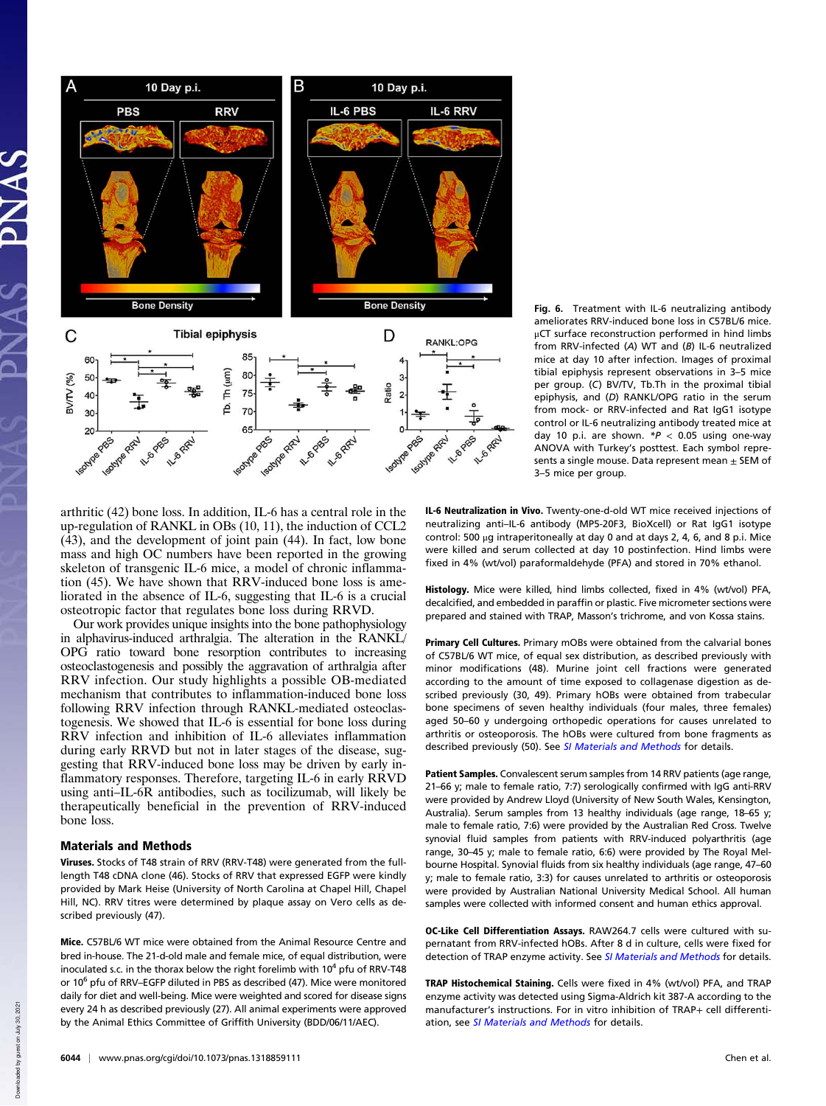

arthritic (42) bone loss. In addition, IL-6 has a central role in the up-regulation of RANKL in OBs (10, 11), the induction of CCL2 (43), and the development of joint pain (44). In fact, low bone mass and high OC numbers have been reported in the growing skeleton of transgenic IL-6 mice, a model of chronic inflammation (45). We have shown that RRV-induced bone loss is ameliorated in the absence of IL-6, suggesting that IL-6 is a crucial osteotropic factor that regulates bone loss during RRVD.

Our work provides unique insights into the bone pathophysiology in alphavirus-induced arthralgia. The alteration in the RANKL/ OPG ratio toward bone resorption contributes to increasing osteoclastogenesis and possibly the aggravation of arthralgia after RRV infection. Our study highlights a possible OB-mediated mechanism that contributes to inflammation-induced bone loss following RRV infection through RANKL-mediated osteoclastogenesis. We showed that IL-6 is essential for bone loss during RRV infection and inhibition of IL-6 alleviates inflammation during early RRVD but not in later stages of the disease, suggesting that RRV-induced bone loss may be driven by early inflammatory responses. Therefore, targeting IL-6 in early RRVD using anti–IL-6R antibodies, such as tocilizumab, will likely be therapeutically beneficial in the prevention of RRV-induced bone loss.

### Materials and Methods

Viruses. Stocks of T48 strain of RRV (RRV-T48) were generated from the fulllength T48 cDNA clone (46). Stocks of RRV that expressed EGFP were kindly provided by Mark Heise (University of North Carolina at Chapel Hill, Chapel Hill, NC). RRV titres were determined by plaque assay on Vero cells as described previously (47).

Mice. C57BL/6 WT mice were obtained from the Animal Resource Centre and bred in-house. The 21-d-old male and female mice, of equal distribution, were inoculated s.c. in the thorax below the right forelimb with  $10^4$  pfu of RRV-T48 or 10<sup>6</sup> pfu of RRV–EGFP diluted in PBS as described (47). Mice were monitored daily for diet and well-being. Mice were weighted and scored for disease signs every 24 h as described previously (27). All animal experiments were approved by the Animal Ethics Committee of Griffith University (BDD/06/11/AEC).

Fig. 6. Treatment with IL-6 neutralizing antibody ameliorates RRV-induced bone loss in C57BL/6 mice. μCT surface reconstruction performed in hind limbs from RRV-infected (A) WT and (B) IL-6 neutralized mice at day 10 after infection. Images of proximal tibial epiphysis represent observations in 3–5 mice per group. (C) BV/TV, Tb.Th in the proximal tibial epiphysis, and (D) RANKL/OPG ratio in the serum from mock- or RRV-infected and Rat IgG1 isotype control or IL-6 neutralizing antibody treated mice at day 10 p.i. are shown.  $*P < 0.05$  using one-way ANOVA with Turkey's posttest. Each symbol represents a single mouse. Data represent mean  $\pm$  SEM of 3–5 mice per group.

IL-6 Neutralization in Vivo. Twenty-one-d-old WT mice received injections of neutralizing anti–IL-6 antibody (MP5-20F3, BioXcell) or Rat IgG1 isotype control: 500 μg intraperitoneally at day 0 and at days 2, 4, 6, and 8 p.i. Mice were killed and serum collected at day 10 postinfection. Hind limbs were fixed in 4% (wt/vol) paraformaldehyde (PFA) and stored in 70% ethanol.

Histology. Mice were killed, hind limbs collected, fixed in 4% (wt/vol) PFA, decalcified, and embedded in paraffin or plastic. Five micrometer sections were prepared and stained with TRAP, Masson's trichrome, and von Kossa stains.

Primary Cell Cultures. Primary mOBs were obtained from the calvarial bones of C57BL/6 WT mice, of equal sex distribution, as described previously with minor modifications (48). Murine joint cell fractions were generated according to the amount of time exposed to collagenase digestion as described previously (30, 49). Primary hOBs were obtained from trabecular bone specimens of seven healthy individuals (four males, three females) aged 50–60 y undergoing orthopedic operations for causes unrelated to arthritis or osteoporosis. The hOBs were cultured from bone fragments as described previously (50). See SI Materials and Methods for details.

Patient Samples. Convalescent serum samples from 14 RRV patients (age range, 21–66 y; male to female ratio, 7:7) serologically confirmed with IgG anti-RRV were provided by Andrew Lloyd (University of New South Wales, Kensington, Australia). Serum samples from 13 healthy individuals (age range, 18–65 y; male to female ratio, 7:6) were provided by the Australian Red Cross. Twelve synovial fluid samples from patients with RRV-induced polyarthritis (age range, 30–45 y; male to female ratio, 6:6) were provided by The Royal Melbourne Hospital. Synovial fluids from six healthy individuals (age range, 47–60 y; male to female ratio, 3:3) for causes unrelated to arthritis or osteoporosis were provided by Australian National University Medical School. All human samples were collected with informed consent and human ethics approval.

OC-Like Cell Differentiation Assays. RAW264.7 cells were cultured with supernatant from RRV-infected hOBs. After 8 d in culture, cells were fixed for detection of TRAP enzyme activity. See SI Materials and Methods for details.

TRAP Histochemical Staining. Cells were fixed in 4% (wt/vol) PFA, and TRAP enzyme activity was detected using Sigma-Aldrich kit 387-A according to the manufacturer's instructions. For in vitro inhibition of TRAP+ cell differentiation, see SI Materials and Methods for details.